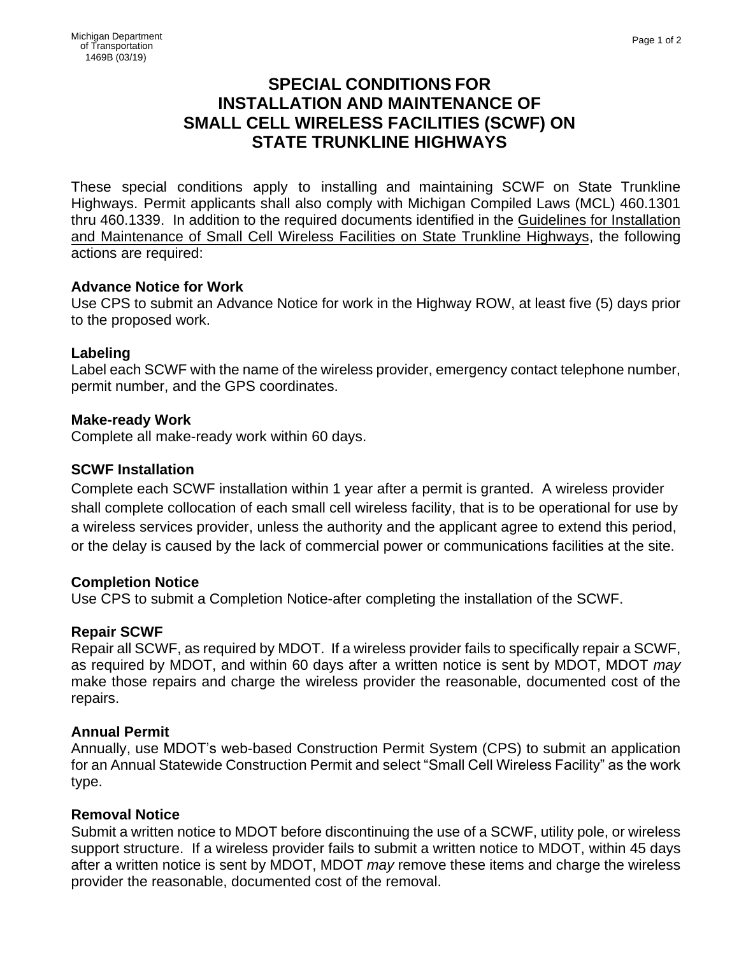# **SPECIAL CONDITIONS FOR INSTALLATION AND MAINTENANCE OF SMALL CELL WIRELESS FACILITIES (SCWF) ON STATE TRUNKLINE HIGHWAYS**

These special conditions apply to installing and maintaining SCWF on State Trunkline Highways. Permit applicants shall also comply with Michigan Compiled Laws (MCL) 460.1301 thru 460.1339. In addition to the required documents identified in the Guidelines for Installation and Maintenance of Small Cell Wireless Facilities on State Trunkline Highways, the following actions are required:

## **Advance Notice for Work**

Use CPS to submit an Advance Notice for work in the Highway ROW, at least five (5) days prior to the proposed work.

## **Labeling**

Label each SCWF with the name of the wireless provider, emergency contact telephone number, permit number, and the GPS coordinates.

#### **Make-ready Work**

Complete all make-ready work within 60 days.

## **SCWF Installation**

Complete each SCWF installation within 1 year after a permit is granted. A wireless provider shall complete collocation of each small cell wireless facility, that is to be operational for use by a wireless services provider, unless the authority and the applicant agree to extend this period, or the delay is caused by the lack of commercial power or communications facilities at the site.

## **Completion Notice**

Use CPS to submit a Completion Notice-after completing the installation of the SCWF.

## **Repair SCWF**

Repair all SCWF, as required by MDOT. If a wireless provider fails to specifically repair a SCWF, as required by MDOT, and within 60 days after a written notice is sent by MDOT, MDOT *may* make those repairs and charge the wireless provider the reasonable, documented cost of the repairs.

## **Annual Permit**

Annually, use MDOT's web-based Construction Permit System (CPS) to submit an application for an Annual Statewide Construction Permit and select "Small Cell Wireless Facility" as the work type.

#### **Removal Notice**

Submit a written notice to MDOT before discontinuing the use of a SCWF, utility pole, or wireless support structure. If a wireless provider fails to submit a written notice to MDOT, within 45 days after a written notice is sent by MDOT, MDOT *may* remove these items and charge the wireless provider the reasonable, documented cost of the removal.